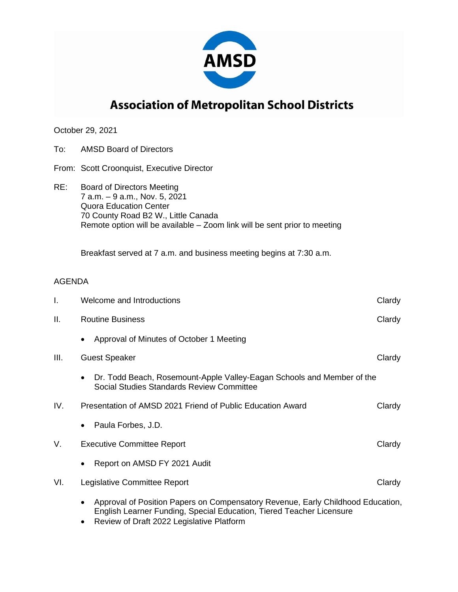

## **Association of Metropolitan School Districts**

October 29, 2021

- To: AMSD Board of Directors
- From: Scott Croonquist, Executive Director
- RE: Board of Directors Meeting 7 a.m. – 9 a.m., Nov. 5, 2021 Quora Education Center 70 County Road B2 W., Little Canada Remote option will be available – Zoom link will be sent prior to meeting

Breakfast served at 7 a.m. and business meeting begins at 7:30 a.m.

## AGENDA

| I.   | Welcome and Introductions                                                                                                                                            | Clardy |
|------|----------------------------------------------------------------------------------------------------------------------------------------------------------------------|--------|
| Ш.   | <b>Routine Business</b>                                                                                                                                              | Clardy |
|      | Approval of Minutes of October 1 Meeting<br>$\bullet$                                                                                                                |        |
| III. | <b>Guest Speaker</b>                                                                                                                                                 | Clardy |
|      | Dr. Todd Beach, Rosemount-Apple Valley-Eagan Schools and Member of the<br>$\bullet$<br>Social Studies Standards Review Committee                                     |        |
| IV.  | Presentation of AMSD 2021 Friend of Public Education Award                                                                                                           | Clardy |
|      | Paula Forbes, J.D.<br>$\bullet$                                                                                                                                      |        |
| V.   | <b>Executive Committee Report</b>                                                                                                                                    | Clardy |
|      | Report on AMSD FY 2021 Audit<br>٠                                                                                                                                    |        |
| VI.  | Legislative Committee Report                                                                                                                                         | Clardy |
|      | Approval of Position Papers on Compensatory Revenue, Early Childhood Education,<br>$\bullet$<br>English Learner Funding, Special Education, Tiered Teacher Licensure |        |

• Review of Draft 2022 Legislative Platform